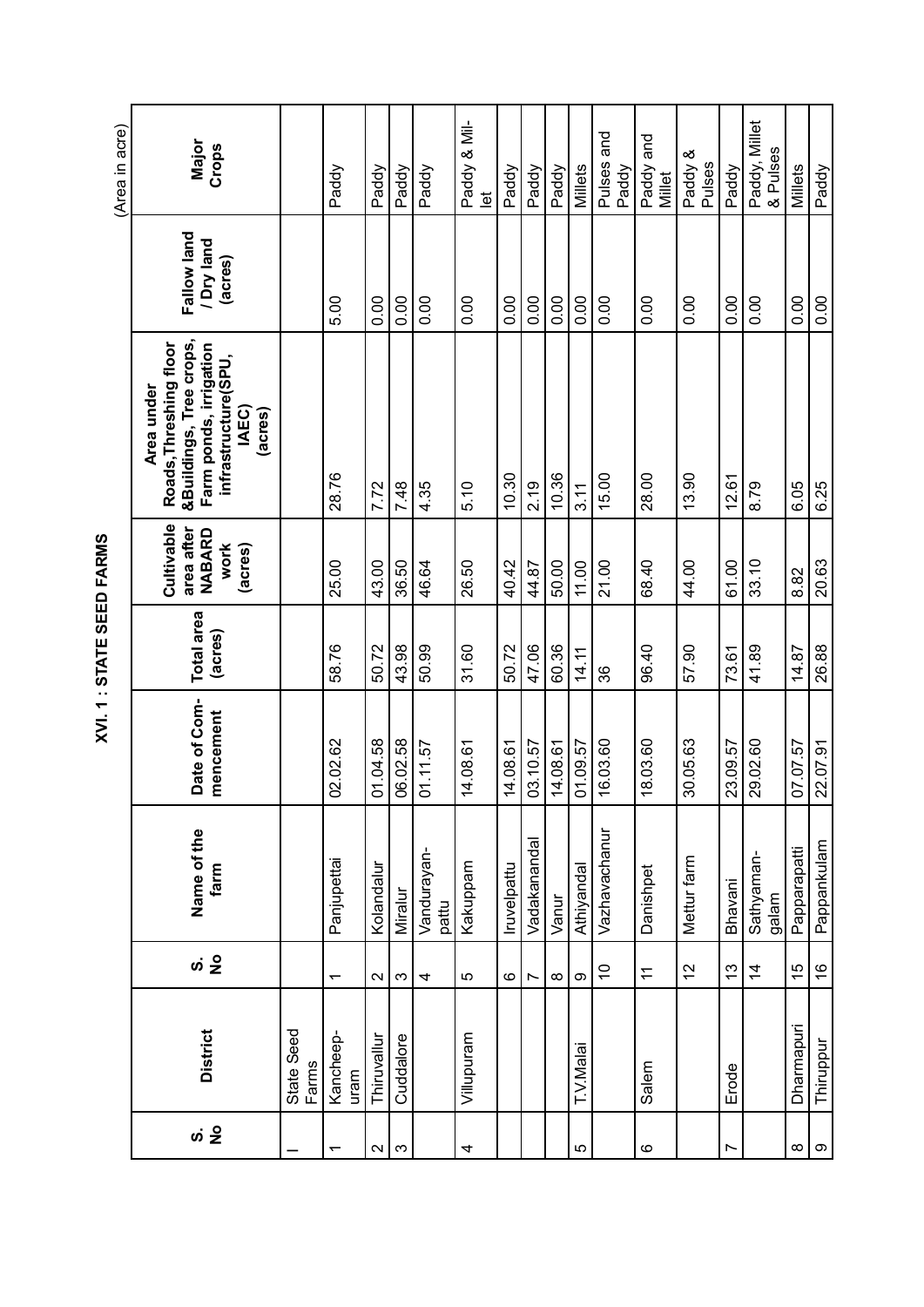| (Area in acre) | Major<br>Crops                                                                                                                       |                     | Paddy                    | Paddy             | Paddy     | Paddy                | Paddy & Mil-<br>$\overline{e}$ | Paddy       | Paddy          | Paddy    | Millets    | Pulses and<br>Paddy | Paddy and<br>Millet | Paddy &<br>Pulses | Paddy       | Paddy, Millet<br>& Pulses | Millets       | Paddy         |
|----------------|--------------------------------------------------------------------------------------------------------------------------------------|---------------------|--------------------------|-------------------|-----------|----------------------|--------------------------------|-------------|----------------|----------|------------|---------------------|---------------------|-------------------|-------------|---------------------------|---------------|---------------|
|                | Fallow land<br>/ Dry land<br>(acres)                                                                                                 |                     | 5.00                     | 0.00              | 0.00      | 0.00                 | 0.00                           | 0.00        | 0.00           | 0.00     | 0.00       | 0.00                | 0.00                | 0.00              | 0.00        | 0.00                      | 0.00          | 0.00          |
|                | &Buildings, Tree crops,<br>Roads, Threshing floor<br>Farm ponds, irrigation<br>infrastructure(SPU,<br>Area under<br>IAEC)<br>(acres) |                     | 28.76                    | 7.72              | 7.48      | 4.35                 | 5.10                           | 10.30       | 2.19           | 10.36    | 3.11       | 15.00               | 28.00               | 13.90             | 12.61       | 8.79                      | 6.05          | 6.25          |
|                | Cultivable<br>area after<br>NABARD<br>work<br>(acres)                                                                                |                     | 25.00                    | 43.00             | 36.50     | 46.64                | 26.50                          | 40.42       | 44.87          | 50.00    | 11.00      | 21.00               | 68.40               | 44.00             | 61.00       | 33.10                     | 8.82          | 20.63         |
|                | Total area<br>(acres)                                                                                                                |                     | 58.76                    | 50.72             | 43.98     | 50.99                | 31.60                          | 50.72       | 47.06          | 60.36    | 14.11      | 86                  | 96.40               | 57.90             | 73.61       | 41.89                     | 14.87         | 26.88         |
|                | Date of Com-<br>mencement                                                                                                            |                     | 02.02.62                 | 01.04.58          | 06.02.58  | 01.11.57             | 14.08.61                       | 14.08.61    | 03.10.57       | 14.08.61 | 01.09.57   | 16.03.60            | 18.03.60            | 30.05.63          | 23.09.57    | 29.02.60                  | 07.07.57      | 22.07.91      |
|                | Name of the<br>farm                                                                                                                  |                     | Panjupettai              | Kolandalur        | Miralur   | Vandurayan-<br>pattu | Kakuppam                       | Iruvelpattu | Vadakananda    | Vanur    | Athiyandal | Vazhavachanur       | Danishpet           | Mettur farm       | Bhavani     | Sathyaman-<br>galam       | Papparapatti  | Pappankulam   |
|                |                                                                                                                                      |                     | $\overline{\phantom{0}}$ | $\sim$            | ω         | 4                    | 5                              | ဖ           | $\overline{ }$ | $\infty$ | တ          | $\tilde{0}$         | $\pm$               | $\tilde{c}$       | $\tilde{c}$ | $\dot{4}$                 | $\frac{5}{1}$ | $\frac{6}{5}$ |
|                | <b>District</b>                                                                                                                      | State Seed<br>Farms | Kancheep-<br>uram        | Thiruvallur       | Cuddalore |                      | Villupuram                     |             |                |          | T.V.Malai  |                     | Salem               |                   | Erode       |                           | Dharmapuri    | Thiruppur     |
|                | ທ່ <mark>2</mark>                                                                                                                    |                     |                          | $\mathbf{\Omega}$ | $\infty$  |                      | 4                              |             |                |          | 5          |                     | $\circ$             |                   | Ľ           |                           | ∞             | $\infty$      |

XVI.1 : STATE SEED FARMS **XVI. 1 : STATE SEED FARMS**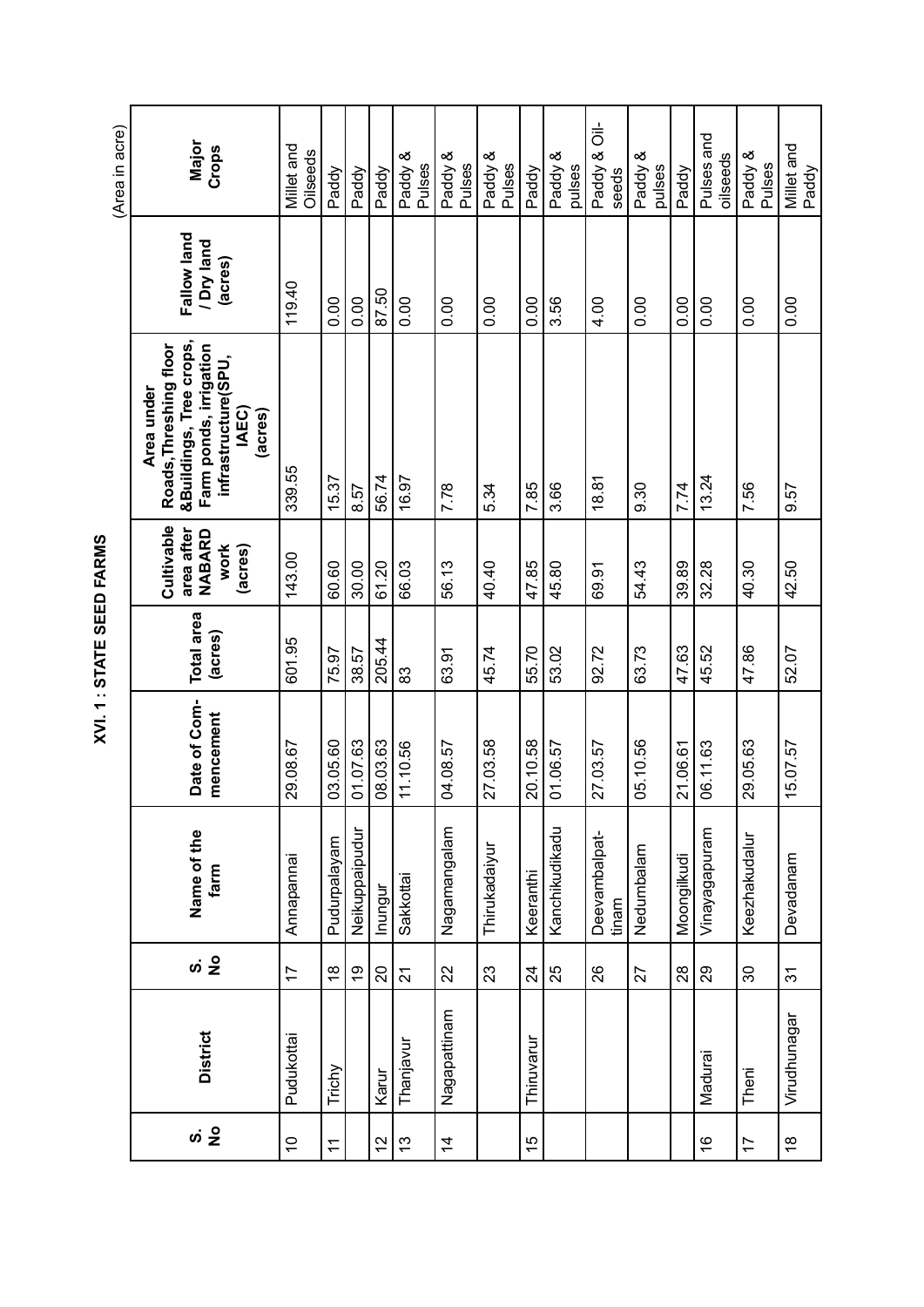| ひこせ ミャレモン | Major<br>Crops                                                                                                                       | Millet and<br>Oilseeds    | Paddy         | Paddy          | Paddy         | Paddy &<br>Pulses | Paddy &<br>Pulses | Paddy &<br>Pulses | Paddy           | Paddy &<br>pulses | $\frac{1}{\circ}$<br>Paddy &<br>seeds | Paddy &<br>pulses | Paddy       | Pulses and<br>oilseeds | Paddy &<br>Pulses | Millet and     |
|-----------|--------------------------------------------------------------------------------------------------------------------------------------|---------------------------|---------------|----------------|---------------|-------------------|-------------------|-------------------|-----------------|-------------------|---------------------------------------|-------------------|-------------|------------------------|-------------------|----------------|
|           | Fallow land<br>I Dry land<br>(acres)                                                                                                 | 119.40                    | 0.00          | 0.00           | 87.50         | 0.00              | 0.00              | 0.00              | 0.00            | 3.56              | 4.00                                  | 0.00              | 0.00        | 0.00                   | 0.00              | 0.00           |
|           | &Buildings, Tree crops,<br>Roads, Threshing floor<br>Farm ponds, irrigation<br>infrastructure(SPU,<br>Area under<br>IAEC)<br>(acres) | 339.55                    | 15.37         | 8.57           | 56.74         | 16.97             | 7.78              | 5.34              | 7.85            | 3.66              | 18.81                                 | 0.30              | 7.74        | 13.24                  | 7.56              | 9.57           |
|           | Cultivable<br>area after<br>NABARD<br>work<br>(acres)                                                                                | 143.00                    | 60.60         | 30.00          | 61.20         | 66.03             | 56.13             | 40.40             | 47.85           | 45.80             | 69.91                                 | 54.43             | 39.89       | 32.28                  | 40.30             | 42.50          |
|           | Total area<br>(acres)                                                                                                                | 601.95                    | 75.97         | 38.57          | 205.44        | 83                | 63.91             | 45.74             | 55.70           | 53.02             | 92.72                                 | 63.73             | 47.63       | 45.52                  | 47.86             | 52.07          |
|           | Date of Com-<br>mencement                                                                                                            | 29.08.67                  | 03.05.60      | 01.07.63       | 08.03.63      | 11.10.56          | 04.08.57          | 27.03.58          | 20.10.58        | 01.06.57          | 27.03.57                              | 05.10.56          | 21.06.61    | 06.11.63               | 29.05.63          | 15.07.57       |
|           | Name of the<br>farm                                                                                                                  | Annapannai                | Pudurpalayam  | Neikuppaipudur | Inungur       | Sakkottai         | Magamangalam      | Thirukadaiyur     | Keeranthi       | Kanchikudikadu    | Deevambalpat-<br>tinam                | Nedumbalam        | Moongilkudi | Vinayagapuram          | Keezhakudalur     | Devadanam      |
|           |                                                                                                                                      | 17                        | $\frac{8}{1}$ | စ္             | $\Omega$      | $\overline{2}$    | 22                | 23                | $\overline{24}$ | 25                | 26                                    | 27                | $28$        | 29                     | 30                | $\overline{3}$ |
|           | <b>District</b>                                                                                                                      | Pudukottai                | Trichy        |                | Karur         | Thanjavur         | Nagapattinam      |                   | Thiruvarur      |                   |                                       |                   |             | Madurai                | Theni             | Virudhunagar   |
|           |                                                                                                                                      | $\widetilde{\phantom{a}}$ | $\tilde{t}$   |                | $\frac{2}{3}$ | $\frac{3}{2}$     | $\overline{4}$    |                   | 15              |                   |                                       |                   |             | $\frac{6}{5}$          | $\overline{1}$    | $\frac{8}{1}$  |

XVI. 1 : STATE SEED FARMS **XVI. 1 : STATE SEED FARMS**

(Area in acre) (Area in acre)

r